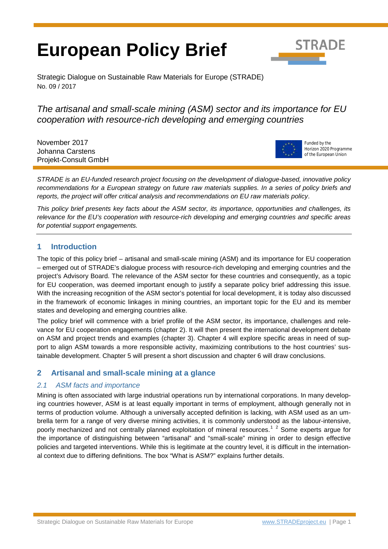# **European Policy Brief**



Strategic Dialogue on Sustainable Raw Materials for Europe (STRADE) No. 09 / 2017

*The artisanal and small-scale mining (ASM) sector and its importance for EU cooperation with resource-rich developing and emerging countries*

November 2017 Johanna Carstens Projekt-Consult GmbH



Funded by the Horizon 2020 Programme of the European Union

*STRADE is an EU-funded research project focusing on the development of dialogue-based, innovative policy recommendations for a European strategy on future raw materials supplies. In a series of policy briefs and reports, the project will offer critical analysis and recommendations on EU raw materials policy*.

*This policy brief presents key facts about the ASM sector, its importance, opportunities and challenges, its relevance for the EU's cooperation with resource-rich developing and emerging countries and specific areas for potential support engagements.*

## **1 Introduction**

The topic of this policy brief – artisanal and small-scale mining (ASM) and its importance for EU cooperation – emerged out of STRADE's dialogue process with resource-rich developing and emerging countries and the project's Advisory Board. The relevance of the ASM sector for these countries and consequently, as a topic for EU cooperation, was deemed important enough to justify a separate policy brief addressing this issue. With the increasing recognition of the ASM sector's potential for local development, it is today also discussed in the framework of economic linkages in mining countries, an important topic for the EU and its member states and developing and emerging countries alike.

The policy brief will commence with a brief profile of the ASM sector, its importance, challenges and relevance for EU cooperation engagements (chapter 2). It will then present the international development debate on ASM and project trends and examples (chapter 3). Chapter 4 will explore specific areas in need of support to align ASM towards a more responsible activity, maximizing contributions to the host countries' sustainable development. Chapter 5 will present a short discussion and chapter 6 will draw conclusions.

# **2 Artisanal and small-scale mining at a glance**

#### *2.1 ASM facts and importance*

<span id="page-0-0"></span>Mining is often associated with large industrial operations run by international corporations. In many developing countries however, ASM is at least equally important in terms of employment, although generally not in terms of production volume. Although a universally accepted definition is lacking, with ASM used as an umbrella term for a range of very diverse mining activities, it is commonly understood as the labour-intensive, poorly mechanized and not centrally planned exploitation of mineral resources.<sup>[1](#page-16-0)[2](#page-16-1)</sup> Some experts argue for the importance of distinguishing between "artisanal" and "small-scale" mining in order to design effective policies and targeted interventions. While this is legitimate at the country level, it is difficult in the international context due to differing definitions. The box "What is ASM?" explains further details.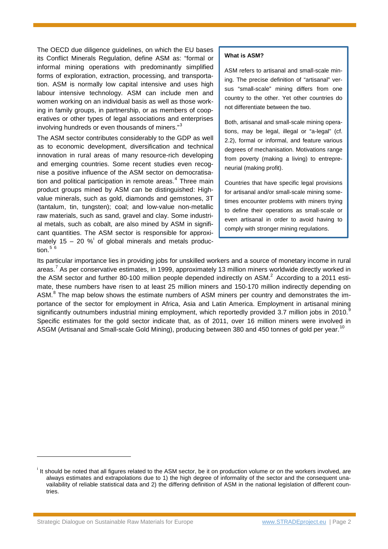The OECD due diligence guidelines, on which the EU bases its Conflict Minerals Regulation, define ASM as: "formal or informal mining operations with predominantly simplified forms of exploration, extraction, processing, and transportation. ASM is normally low capital intensive and uses high labour intensive technology. ASM can include men and women working on an individual basis as well as those working in family groups, in partnership, or as members of cooperatives or other types of legal associations and enterprises involving hundreds or even thousands of miners."<sup>[3](#page-16-2)</sup>

The ASM sector contributes considerably to the GDP as well as to economic development, diversification and technical innovation in rural areas of many resource-rich developing and emerging countries. Some recent studies even recognise a positive influence of the ASM sector on democratisation and political participation in remote areas. $4$  Three main product groups mined by ASM can be distinguished: Highvalue minerals, such as gold, diamonds and gemstones, 3T (tantalum, tin, tungsten); coal; and low-value non-metallic raw materials, such as sand, gravel and clay. Some industrial metals, such as cobalt, are also mined by ASM in significant quantities. The ASM sector is responsible for approximately 15 – 20  $\%$  of global m[i](#page-1-0)nerals and metals production. [5](#page-16-4) [6](#page-16-5)

#### **What is ASM?**

ASM refers to artisanal and small-scale mining. The precise definition of "artisanal" versus "small-scale" mining differs from one country to the other. Yet other countries do not differentiate between the two.

Both, artisanal and small-scale mining operations, may be legal, illegal or "a-legal" (cf. 2.2), formal or informal, and feature various degrees of mechanisation. Motivations range from poverty (making a living) to entrepreneurial (making profit).

Countries that have specific legal provisions for artisanal and/or small-scale mining sometimes encounter problems with miners trying to define their operations as small-scale or even artisanal in order to avoid having to comply with stronger mining regulations.

<span id="page-1-4"></span><span id="page-1-3"></span><span id="page-1-2"></span><span id="page-1-1"></span>Its particular importance lies in providing jobs for unskilled workers and a source of monetary income in rural areas.<sup>[7](#page-16-6)</sup> As per conservative estimates, in 1999, approximately 13 million miners worldwide directly worked in the ASM sector and further 80-100 million people depended indirectly on ASM.<sup>[2](#page-0-0)</sup> According to a 2011 estimate, these numbers have risen to at least 25 million miners and 150-170 million indirectly depending on ASM.<sup>[8](#page-16-7)</sup> The map below shows the estimate numbers of ASM miners per country and demonstrates the importance of the sector for employment in Africa, Asia and Latin America. Employment in artisanal mining significantly outnumbers industrial mining employment, which reportedly provided 3.7 million jobs in 2010. $^{\circ}$ Specific estimates for the gold sector indicate that, as of 2011, over 16 million miners were involved in ASGM (Artisanal and Small-scale Gold Mining), producing between 380 and 450 tonnes of gold per year.<sup>[10](#page-16-9)</sup>

<span id="page-1-0"></span><sup>&</sup>lt;sup>i</sup> It should be noted that all figures related to the ASM sector, be it on production volume or on the workers involved, are always estimates and extrapolations due to 1) the high degree of informality of the sector and the consequent unavailability of reliable statistical data and 2) the differing definition of ASM in the national legislation of different countries.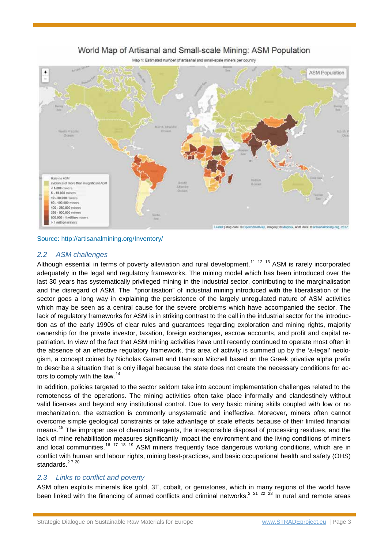

# World Map of Artisanal and Small-scale Mining: ASM Population

Map 1: Estimated number of artisanal and small-scale miners per country

Source: http://artisanalmining.org/Inventory/

## <span id="page-2-2"></span>*2.2 ASM challenges*

Although essential in terms of poverty alleviation and rural development,<sup>[11](#page-16-10) [12](#page-16-11) [13](#page-16-12)</sup> ASM is rarely incorporated adequately in the legal and regulatory frameworks. The mining model which has been introduced over the last 30 years has systematically privileged mining in the industrial sector, contributing to the marginalisation and the disregard of ASM. The "prioritisation" of industrial mining introduced with the liberalisation of the sector goes a long way in explaining the persistence of the largely unregulated nature of ASM activities which may be seen as a central cause for the severe problems which have accompanied the sector. The lack of regulatory frameworks for ASM is in striking contrast to the call in the industrial sector for the introduction as of the early 1990s of clear rules and guarantees regarding exploration and mining rights, majority ownership for the private investor, taxation, foreign exchanges, escrow accounts, and profit and capital repatriation. In view of the fact that ASM mining activities have until recently continued to operate most often in the absence of an effective regulatory framework, this area of activity is summed up by the 'a-legal' neologism, a concept coined by Nicholas Garrett and Harrison Mitchell based on the Greek privative alpha prefix to describe a situation that is only illegal because the state does not create the necessary conditions for ac-tors to comply with the law.<sup>[14](#page-16-13)</sup>

<span id="page-2-1"></span>In addition, policies targeted to the sector seldom take into account implementation challenges related to the remoteness of the operations. The mining activities often take place informally and clandestinely without valid licenses and beyond any institutional control. Due to very basic mining skills coupled with low or no mechanization, the extraction is commonly unsystematic and ineffective. Moreover, miners often cannot overcome simple geological constraints or take advantage of scale effects because of their limited financial means. [15](#page-16-14) The improper use of chemical reagents, the irresponsible disposal of processing residues, and the lack of mine rehabilitation measures significantly impact the environment and the living conditions of miners and local communities.<sup>[16](#page-16-15) [17](#page-17-0) [18](#page-17-1) [19](#page-17-2)</sup> ASM miners frequently face dangerous working conditions, which are in conflict with human and labour rights, mining best-practices, and basic occupational health and safety (OHS) standards[.](#page-0-0)<sup>2[7](#page-1-1)[20](#page-17-3)</sup>

# <span id="page-2-0"></span>*2.3 Links to conflict and poverty*

ASM often exploits minerals like gold, 3T, cobalt, or gemstones, which in many regions of the world have been linked with the financing of armed conflicts and criminal networks.<sup>[2](#page-0-0) [21](#page-17-4) [22](#page-17-5)</sup> <sup>[23](#page-17-6)</sup> In rural and remote areas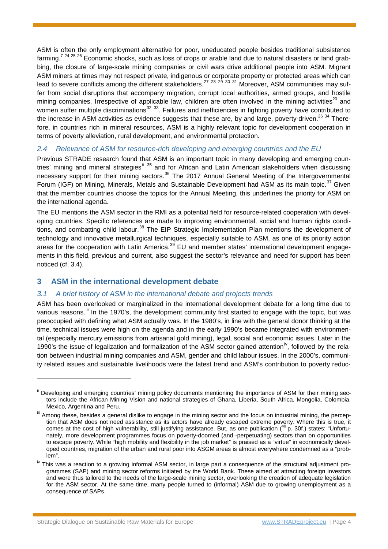<span id="page-3-0"></span>ASM is often the only employment alternative for poor, uneducated people besides traditional subsistence farming.<sup>[7](#page-1-1) [24](#page-17-7) [25](#page-17-8) [26](#page-17-9)</sup> Economic shocks, such as loss of crops or arable land due to natural disasters or land grabbing, the closure of large-scale mining companies or civil wars drive additional people into ASM. Migrant ASM miners at times may not respect private, indigenous or corporate property or protected areas which can lead to severe conflicts among the different stakeholders.<sup>[27](#page-17-10) [28](#page-17-11) [29](#page-17-12) [30](#page-17-13)</sup> [31](#page-17-14) Moreover, ASM communities may suffer from social disruptions that accompany migration, corrupt local authorities, armed groups, and hostile mining companies. Irrespective of applicable law, children are often involved in the mining activities<sup>[20](#page-2-0)</sup> and women suffer multiple discriminations<sup>[32](#page-17-15)</sup> [33](#page-17-16). Failures and inefficiencies in fighting poverty have contributed to the increase in ASM activities as evidence suggests that these are, by and large, poverty-driven.<sup>[26](#page-3-0) [34](#page-17-17)</sup> Therefore, in countries rich in mineral resources, ASM is a highly relevant topic for development cooperation in terms of poverty alleviation, rural development, and environmental protection.

## <span id="page-3-6"></span><span id="page-3-5"></span>*2.4 Relevance of ASM for resource-rich developing and emerging countries and the EU*

<span id="page-3-4"></span>Previous STRADE research found that ASM is an important topic in many developing and emerging countries' mining and mineral strategies[ii](#page-3-1) [35](#page-17-18) and for African and Latin American stakeholders when discussing necessary support for their mining sectors.<sup>[36](#page-17-19)</sup> The 2017 Annual General Meeting of the Intergovernmental Forum (IGF) on Mining, Minerals, Metals and Sustainable Development had ASM as its main topic.<sup>[37](#page-17-20)</sup> Given that the member countries choose the topics for the Annual Meeting, this underlines the priority for ASM on the international agenda.

The EU mentions the ASM sector in the RMI as a potential field for resource-related cooperation with developing countries. Specific references are made to improving environmental, social and human rights condi-tions, and combatting child labour.<sup>[38](#page-17-21)</sup> The EIP Strategic Implementation Plan mentions the development of technology and innovative metallurgical techniques, especially suitable to ASM, as one of its priority action areas for the cooperation with Latin America.<sup>[39](#page-17-22)</sup> EU and member states' international development engagements in this field, previous and current, also suggest the sector's relevance and need for support has been noticed (cf. [3.4\)](#page-5-0).

# **3 ASM in the international development debate**

## *3.1 A brief history of ASM in the international debate and projects trends*

ASM has been overlooked or marginalized in the international development debate for a long time due to various reasons.<sup>[iii](#page-3-2)</sup> In the 1970's, the development community first started to engage with the topic, but was preoccupied with defining what ASM actually was. In the 1980's, in line with the general donor thinking at the time, technical issues were high on the agenda and in the early 1990's became integrated with environmental (especially mercury emissions from artisanal gold mining), legal, social and economic issues. Later in the 1990's the issue of legalization and formalization of the ASM sector gained attention<sup>[iv](#page-3-3)</sup>, followed by the relation between industrial mining companies and ASM, gender and child labour issues. In the 2000's, community related issues and sustainable livelihoods were the latest trend and ASM's contribution to poverty reduc-

<span id="page-3-1"></span><sup>&</sup>lt;sup>ii</sup> Developing and emerging countries' mining policy documents mentioning the importance of ASM for their mining sectors include the African Mining Vision and national strategies of Ghana, Liberia, South Africa, Mongolia, Colombia, Mexico, Argentina and Peru.

<span id="page-3-2"></span>III Among these, besides a general dislike to engage in the mining sector and the focus on industrial mining, the perception that ASM does not need assistance as its actors have already escaped extreme poverty. Where this is true, it comes at the cost of high vulnerability, still justifying assistance. But, as one publication (<sup>40</sup> p. 30f.) states: "Unfortunately, more development programmes focus on poverty-doomed (and -perpetuating) sectors than on opportunities to escape poverty. While "high mobility and flexibility in the job market" is praised as a "virtue" in economically developed countries, migration of the urban and rural poor into ASGM areas is almost everywhere condemned as a "problem".

<span id="page-3-3"></span>iv This was a reaction to a growing informal ASM sector, in large part a consequence of the structural adjustment programmes (SAP) and mining sector reforms initiated by the World Bank. These aimed at attracting foreign investors and were thus tailored to the needs of the large-scale mining sector, overlooking the creation of adequate legislation for the ASM sector. At the same time, many people turned to (informal) ASM due to growing unemployment as a consequence of SAPs.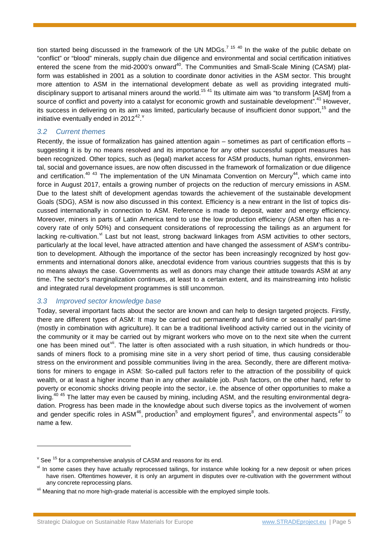<span id="page-4-0"></span>tion started being discussed in the framework of the UN MDGs[.](#page-1-1)<sup>7 [15](#page-2-1) [40](#page-18-0)</sup> In the wake of the public debate on "conflict" or "blood" minerals, supply chain due diligence and environmental and social certification initiatives entered the scene from the mid-2000's onward<sup>40</sup>. The Communities and Small-Scale Mining (CASM) platform was established in 2001 as a solution to coordinate donor activities in the ASM sector. This brought more attention to ASM in the international development debate as well as providing integrated multi-disciplinary support to artisanal miners around the world.<sup>[15](#page-2-1) [41](#page-18-1)</sup> Its ultimate aim was "to transform [ASM] from a source of conflict and poverty into a catalyst for economic growth and sustainable development".<sup>41</sup> However, its success in delivering on its aim was limited, particularly because of insufficient donor support,<sup>[15](#page-2-1)</sup> and the initiati[v](#page-4-2)e eventually ended in 2012 $42.$ <sup>v</sup>

## <span id="page-4-1"></span>*3.2 Current themes*

Recently, the issue of formalization has gained attention again – sometimes as part of certification efforts – suggesting it is by no means resolved and its importance for any other successful support measures has been recognized. Other topics, such as (legal) market access for ASM products, human rights, environmental, social and governance issues, are now often discussed in the framework of formalization or due diligence and certification.<sup>[40](#page-4-0) [43](#page-18-3)</sup> The implementation of the UN Minamata Convention on Mercury<sup>44</sup>, which came into force in August 2017, entails a growing number of projects on the reduction of mercury emissions in ASM. Due to the latest shift of development agendas towards the achievement of the sustainable development Goals (SDG), ASM is now also discussed in this context. Efficiency is a new entrant in the list of topics discussed internationally in connection to ASM. Reference is made to deposit, water and energy efficiency. Moreover, miners in parts of Latin America tend to use the low production efficiency (ASM often has a recovery rate of only 50%) and consequent considerations of reprocessing the tailings as an argument for lacking re-cultivation. <sup>[vi](#page-4-3)</sup> Last but not least, strong backward linkages from ASM activities to other sectors, particularly at the local level, have attracted attention and have changed the assessment of ASM's contribution to development. Although the importance of the sector has been increasingly recognized by host governments and international donors alike, anecdotal evidence from various countries suggests that this is by no means always the case. Governments as well as donors may change their attitude towards ASM at any time. The sector's marginalization continues, at least to a certain extent, and its mainstreaming into holistic and integrated rural development programmes is still uncommon.

## <span id="page-4-5"></span>*3.3 Improved sector knowledge base*

<span id="page-4-7"></span><span id="page-4-6"></span>j

Today, several important facts about the sector are known and can help to design targeted projects. Firstly, there are different types of ASM: It may be carried out permanently and full-time or seasonally/ part-time (mostly in combination with agriculture). It can be a traditional livelihood activity carried out in the vicinity of the community or it may be carried out by migrant workers who move on to the next site when the current one has been mined out<sup>[vii](#page-4-4)</sup>. The latter is often associated with a rush situation, in which hundreds or thousands of miners flock to a promising mine site in a very short period of time, thus causing considerable stress on the environment and possible communities living in the area. Secondly, there are different motivations for miners to engage in ASM: So-called pull factors refer to the attraction of the possibility of quick wealth, or at least a higher income than in any other available job. Push factors, on the other hand, refer to poverty or economic shocks driving people into the sector, i.e. the absence of other opportunities to make a living.<sup>[40](#page-4-0) [45](#page-18-5)</sup> The latter may even be caused by mining, including ASM, and the resulting environmental degradation. Progress has been made in the knowledge about such diverse topics as the involvement of women and gender specific roles in ASM<sup>46</sup>[,](#page-1-3) production<sup>5</sup> and employment figures<sup>8</sup>, and environmental aspects<sup>[47](#page-18-7)</sup> to name a few.

<span id="page-4-2"></span> $\degree$  See  $^{15}$  $^{15}$  $^{15}$  for a comprehensive analysis of CASM and reasons for its end.

<span id="page-4-3"></span>vi In some cases they have actually reprocessed tailings, for instance while looking for a new deposit or when prices have risen. Oftentimes however, it is only an argument in disputes over re-cultivation with the government without any concrete reprocessing plans.

<span id="page-4-4"></span>vii Meaning that no more high-grade material is accessible with the employed simple tools.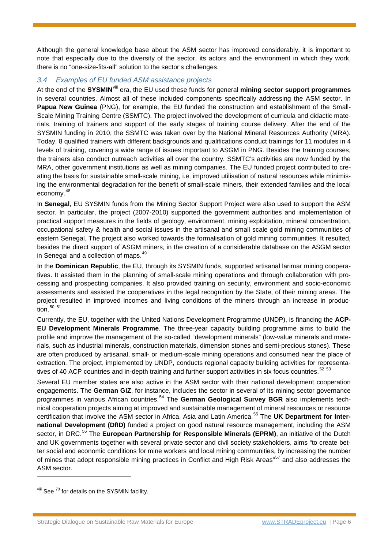Although the general knowledge base about the ASM sector has improved considerably, it is important to note that especially due to the diversity of the sector, its actors and the environment in which they work, there is no "one-size-fits-all" solution to the sector's challenges.

## <span id="page-5-0"></span>*3.4 Examples of EU funded ASM assistance projects*

At the end of the **SYSMIN**[viii](#page-5-1) era, the EU used these funds for general **mining sector support programmes** in several countries. Almost all of these included components specifically addressing the ASM sector. In **Papua New Guinea** (PNG), for example, the EU funded the construction and establishment of the Small-Scale Mining Training Centre (SSMTC). The project involved the development of curricula and didactic materials, training of trainers and support of the early stages of training course delivery. After the end of the SYSMIN funding in 2010, the SSMTC was taken over by the National Mineral Resources Authority (MRA). Today, 8 qualified trainers with different backgrounds and qualifications conduct trainings for 11 modules in 4 levels of training, covering a wide range of issues important to ASGM in PNG. Besides the training courses, the trainers also conduct outreach activities all over the country. SSMTC's activities are now funded by the MRA, other government institutions as well as mining companies. The EU funded project contributed to creating the basis for sustainable small-scale mining, i.e. improved utilisation of natural resources while minimising the environmental degradation for the benefit of small-scale miners, their extended families and the local economy.[48](#page-18-8)

In **Senegal**, EU SYSMIN funds from the Mining Sector Support Project were also used to support the ASM sector. In particular, the project (2007-2010) supported the government authorities and implementation of practical support measures in the fields of geology, environment, mining exploitation, mineral concentration, occupational safety & health and social issues in the artisanal and small scale gold mining communities of eastern Senegal. The project also worked towards the formalisation of gold mining communities. It resulted, besides the direct support of ASGM miners, in the creation of a considerable database on the ASGM sector in Senegal and a collection of maps.<sup>[49](#page-18-9)</sup>

In the **Dominican Republic**, the EU, through its SYSMIN funds, supported artisanal larimar mining cooperatives. It assisted them in the planning of small-scale mining operations and through collaboration with processing and prospecting companies. It also provided training on security, environment and socio-economic assessments and assisted the cooperatives in the legal recognition by the State, of their mining areas. The project resulted in improved incomes and living conditions of the miners through an increase in production. $50\,51$  $50\,51$  $50\,51$ 

Currently, the EU, together with the United Nations Development Programme (UNDP), is financing the **ACP-EU Development Minerals Programme**. The three-year capacity building programme aims to build the profile and improve the management of the so-called "development minerals" (low-value minerals and materials, such as industrial minerals, construction materials, dimension stones and semi-precious stones). These are often produced by artisanal, small- or medium-scale mining operations and consumed near the place of extraction. The project, implemented by UNDP, conducts regional capacity building activities for representa-tives of 40 ACP countries and in-depth training and further support activities in six focus countries.<sup>[52](#page-18-12) [53](#page-18-13)</sup>

Several EU member states are also active in the ASM sector with their national development cooperation engagements. The **German GIZ**, for instance, includes the sector in several of its mining sector governance programmes in various African countries.<sup>[54](#page-18-14)</sup> The German Geological Survey BGR also implements technical cooperation projects aiming at improved and sustainable management of mineral resources or resource certification that involve the ASM sector in Africa, Asia and Latin America.<sup>[55](#page-18-15)</sup> The UK Department for Inter**national Development (DfID)** funded a project on good natural resource management, including the ASM sector, in DRC.[56](#page-18-16) The **European Partnership for Responsible Minerals (EPRM)**, an initiative of the Dutch and UK governments together with several private sector and civil society stakeholders, aims "to create better social and economic conditions for mine workers and local mining communities, by increasing the number of mines that adopt responsible mining practices in Conflict and High Risk Areas"<sup>[57](#page-18-17)</sup> and also addresses the ASM sector.

<span id="page-5-1"></span><sup>&</sup>lt;sup>viii</sup> See<sup>[70](#page-9-0)</sup> for details on the SYSMIN facility.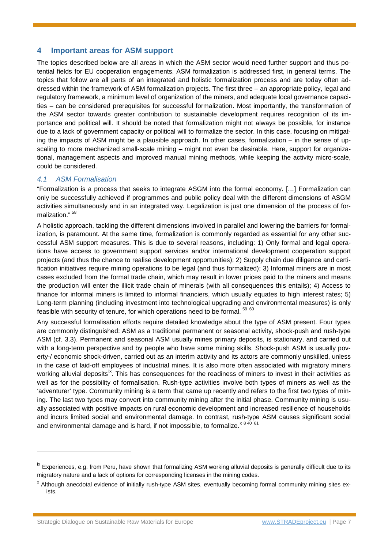## **4 Important areas for ASM support**

The topics described below are all areas in which the ASM sector would need further support and thus potential fields for EU cooperation engagements. ASM formalization is addressed first, in general terms. The topics that follow are all parts of an integrated and holistic formalization process and are today often addressed within the framework of ASM formalization projects. The first three – an appropriate policy, legal and regulatory framework, a minimum level of organization of the miners, and adequate local governance capacities – can be considered prerequisites for successful formalization. Most importantly, the transformation of the ASM sector towards greater contribution to sustainable development requires recognition of its importance and political will. It should be noted that formalization might not always be possible, for instance due to a lack of government capacity or political will to formalize the sector. In this case, focusing on mitigating the impacts of ASM might be a plausible approach. In other cases, formalization – in the sense of upscaling to more mechanized small-scale mining – might not even be desirable. Here, support for organizational, management aspects and improved manual mining methods, while keeping the activity micro-scale, could be considered.

## *4.1 ASM Formalisation*

"Formalization is a process that seeks to integrate ASGM into the formal economy. […] Formalization can only be successfully achieved if programmes and public policy deal with the different dimensions of ASGM activities simultaneously and in an integrated way. Legalization is just one dimension of the process of formalization." [58](#page-18-18)

A holistic approach, tackling the different dimensions involved in parallel and lowering the barriers for formalization, is paramount. At the same time, formalization is commonly regarded as essential for any other successful ASM support measures. This is due to several reasons, including: 1) Only formal and legal operations have access to government support services and/or international development cooperation support projects (and thus the chance to realise development opportunities); 2) Supply chain due diligence and certification initiatives require mining operations to be legal (and thus formalized); 3) Informal miners are in most cases excluded from the formal trade chain, which may result in lower prices paid to the miners and means the production will enter the illicit trade chain of minerals (with all consequences this entails); 4) Access to finance for informal miners is limited to informal financiers, which usually equates to high interest rates; 5) Long-term planning (including investment into technological upgrading and environmental measures) is only feasible with security of tenure, for which operations need to be formal. [59](#page-18-19) [60](#page-18-20)

<span id="page-6-3"></span><span id="page-6-2"></span>Any successful formalisation efforts require detailed knowledge about the type of ASM present. Four types are commonly distinguished: ASM as a traditional permanent or seasonal activity, shock-push and rush-type ASM (cf. [3.3\)](#page-4-5). Permanent and seasonal ASM usually mines primary deposits, is stationary, and carried out with a long-term perspective and by people who have some mining skills. Shock-push ASM is usually poverty-/ economic shock-driven, carried out as an interim activity and its actors are commonly unskilled, unless in the case of laid-off employees of industrial mines. It is also more often associated with migratory miners working alluvial deposits<sup>[ix](#page-6-0)</sup>. This has consequences for the readiness of miners to invest in their activities as well as for the possibility of formalisation. Rush-type activities involve both types of miners as well as the 'adventurer' type. Community mining is a term that came up recently and refers to the first two types of mining. The last two types may convert into community mining after the initial phase. Community mining is usually associated with positive impacts on rural economic development and increased resilience of households and incurs limited social and environmental damage. In contrast, rush-type ASM causes significant social and environmental damage and is hard, if not impossible, to formalize.<sup> $x 8 40 61$  $x 8 40 61$  $x 8 40 61$  $x 8 40 61$  $x 8 40 61$  $x 8 40 61$  $x 8 40 61$ </sup>

<span id="page-6-0"></span><sup>&</sup>lt;sup>ix</sup> Experiences, e.g. from Peru, have shown that formalizing ASM working alluvial deposits is generally difficult due to its migratory nature and a lack of options for corresponding licenses in the mining codes.

<span id="page-6-1"></span><sup>x</sup> Although anecdotal evidence of initially rush-type ASM sites, eventually becoming formal community mining sites exists.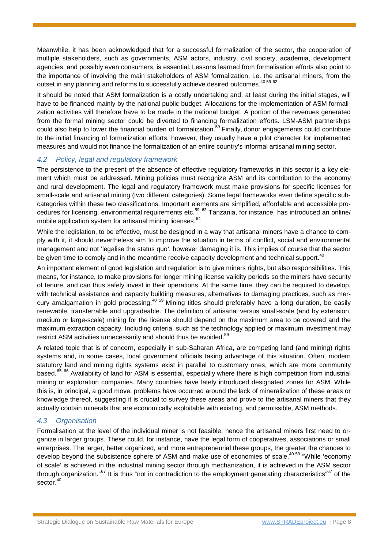Meanwhile, it has been acknowledged that for a successful formalization of the sector, the cooperation of multiple stakeholders, such as governments, ASM actors, industry, civil society, academia, development agencies, and possibly even consumers, is essential. Lessons learned from formalisation efforts also point to the importance of involving the main stakeholders of ASM formalization, i.e. the artisanal miners, from the outset in any planning and reforms to successfully achieve desired outcomes.<sup>[40](#page-4-0) [59](#page-6-2) [62](#page-18-22)</sup>

<span id="page-7-1"></span>It should be noted that ASM formalization is a costly undertaking and, at least during the initial stages, will have to be financed mainly by the national public budget. Allocations for the implementation of ASM formalization activities will therefore have to be made in the national budget. A portion of the revenues generated from the formal mining sector could be diverted to financing formalization efforts. LSM-ASM partnerships could also help to lower the financial burden of formalization.<sup>[59](#page-6-2)</sup> Finally, donor engagements could contribute to the initial financing of formalization efforts, however, they usually have a pilot character for implemented measures and would not finance the formalization of an entire country's informal artisanal mining sector.

## <span id="page-7-3"></span>*4.2 Policy, legal and regulatory framework*

The persistence to the present of the absence of effective regulatory frameworks in this sector is a key element which must be addressed. Mining policies must recognize ASM and its contribution to the economy and rural development. The legal and regulatory framework must make provisions for specific licenses for small-scale and artisanal mining (two different categories). Some legal frameworks even define specific subcategories within these two classifications. Important elements are simplified, affordable and accessible pro-cedures for licensing, environmental requirements etc.<sup>[59](#page-6-2) [63](#page-19-0)</sup> Tanzania, for instance, has introduced an online/ mobile application system for artisanal mining licenses.<sup>[64](#page-19-1)</sup>

<span id="page-7-2"></span>While the legislation, to be effective, must be designed in a way that artisanal miners have a chance to comply with it, it should nevertheless aim to improve the situation in terms of conflict, social and environmental management and not 'legalise the status quo', however damaging it is. This implies of course that the sector be given time to comply and in the meantime receive capacity development and technical support.<sup>[40](#page-4-0)</sup>

An important element of good legislation and regulation is to give miners rights, but also responsibilities. This means, for instance, to make provisions for longer mining license validity periods so the miners have security of tenure, and can thus safely invest in their operations. At the same time, they can be required to develop, with technical assistance and capacity building measures, alternatives to damaging practices, such as mer-cury amalgamation in gold processing.<sup>[40](#page-4-0) [59](#page-6-2)</sup> Mining titles should preferably have a long duration, be easily renewable, transferrable and upgradeable. The definition of artisanal versus small-scale (and by extension, medium or large-scale) mining for the license should depend on the maximum area to be covered and the maximum extraction capacity. Including criteria, such as the technology applied or maximum investment may restrict ASM activities unnecessarily and should thus be avoided.<sup>[59](#page-6-2)</sup>

A related topic that is of concern, especially in sub-Saharan Africa, are competing land (and mining) rights systems and, in some cases, local government officials taking advantage of this situation. Often, modern statutory land and mining rights systems exist in parallel to customary ones, which are more community based.<sup>[65](#page-19-2) [66](#page-19-3)</sup> Availability of land for ASM is essential, especially where there is high competition from industrial mining or exploration companies. Many countries have lately introduced designated zones for ASM. While this is, in principal, a good move, problems have occurred around the lack of mineralization of these areas or knowledge thereof, suggesting it is crucial to survey these areas and prove to the artisanal miners that they actually contain minerals that are economically exploitable with existing, and permissible, ASM methods.

#### *4.3 Organisation*

<span id="page-7-0"></span>Formalisation at the level of the individual miner is not feasible, hence the artisanal miners first need to organize in larger groups. These could, for instance, have the legal form of cooperatives, associations or small enterprises. The larger, better organized, and more entrepreneurial these groups, the greater the chances to develop beyond the subsistence sphere of ASM and make use of economies of scale.<sup>[40](#page-4-0) [59](#page-6-2)</sup> "While 'economy of scale' is achieved in the industrial mining sector through mechanization, it is achieved in the ASM sector through organization."<sup>[67](#page-7-0)</sup> It is thus "not in contradiction to the employment generating characteristics"<sup>67</sup> of the sector.<sup>40</sup>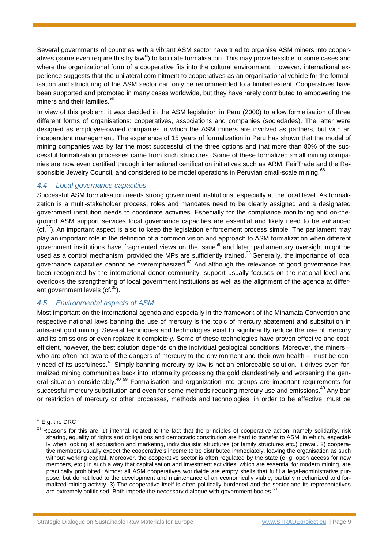Several governments of countries with a vibrant ASM sector have tried to organise ASM miners into cooperatives (some even require this by law<sup>xi</sup>) to facilitate formalisation. This may prove feasible in some cases and where the organizational form of a cooperative fits into the cultural environment. However, international experience suggests that the unilateral commitment to cooperatives as an organisational vehicle for the formalisation and structuring of the ASM sector can only be recommended to a limited extent. Cooperatives have been supported and promoted in many cases worldwide, but they have rarely contributed to empowering the miners and their families.<sup>[xii](#page-8-2)</sup>

In view of this problem, it was decided in the ASM legislation in Peru (2000) to allow formalisation of three different forms of organisations: cooperatives, associations and companies (sociedades). The latter were designed as employee-owned companies in which the ASM miners are involved as partners, but with an independent management. The experience of 15 years of formalization in Peru has shown that the model of mining companies was by far the most successful of the three options and that more than 80% of the successful formalization processes came from such structures. Some of these formalized small mining companies are now even certified through international certification initiatives such as ARM, FairTrade and the Re-sponsible Jewelry Council, and considered to be model operations in Peruvian small-scale mining.<sup>[68](#page-19-5)</sup>

## <span id="page-8-0"></span>*4.4 Local governance capacities*

Successful ASM formalisation needs strong government institutions, especially at the local level. As formalization is a multi-stakeholder process, roles and mandates need to be clearly assigned and a designated government institution needs to coordinate activities. Especially for the compliance monitoring and on-theground ASM support services local governance capacities are essential and likely need to be enhanced (cf.<sup>35</sup>). An important aspect is also to keep the legislation enforcement process simple. The parliament may play an important role in the definition of a common vision and approach to ASM formalization when different government institutions have fragmented views on the issue<sup>59</sup> and later, parliamentary oversight might be used as a control mechanism, provided the MPs are sufficiently trained.<sup>[35](#page-3-4)</sup> Generally, the importance of local governance capacities cannot be overemphasized.<sup>[62](#page-7-1)</sup> And although the relevance of good governance has been recognized by the international donor community, support usually focuses on the national level and overlooks the strengthening of local government institutions as well as the alignment of the agenda at different government levels (cf.<sup>35</sup>).

## *4.5 Environmental aspects of ASM*

Most important on the international agenda and especially in the framework of the Minamata Convention and respective national laws banning the use of mercury is the topic of mercury abatement and substitution in artisanal gold mining. Several techniques and technologies exist to significantly reduce the use of mercury and its emissions or even replace it completely. Some of these technologies have proven effective and costefficient, however, the best solution depends on the individual geological conditions. Moreover, the miners – who are often not aware of the dangers of mercury to the environment and their own health – must be con-vinced of its usefulness.<sup>[40](#page-4-0)</sup> Simply banning mercury by law is not an enforceable solution. It drives even formalized mining communities back into informality processing the gold clandestinely and worsening the gen-eral situation considerably.<sup>[40](#page-4-0) [59](#page-6-2)</sup> Formalisation and organization into groups are important requirements for successful mercury substitution and even for some methods reducing mercury use and emissions.<sup>[40](#page-4-0)</sup> Any ban or restriction of mercury or other processes, methods and technologies, in order to be effective, must be

<span id="page-8-1"></span> $x$ <sup>i</sup> E.g. the DRC

<span id="page-8-2"></span><sup>&</sup>lt;sup>xii</sup> Reasons for this are: 1) internal, related to the fact that the principles of cooperative action, namely solidarity, risk sharing, equality of rights and obligations and democratic constitution are hard to transfer to ASM, in which, especially when looking at acquisition and marketing, individualistic structures (or family structures etc.) prevail. 2) cooperative members usually expect the cooperative's income to be distributed immediately, leaving the organisation as such without working capital. Moreover, the cooperative sector is often regulated by the state (e. g. open access for new members, etc.) in such a way that capitalisation and investment activities, which are essential for modern mining, are practically prohibited. Almost all ASM cooperatives worldwide are empty shells that fulfil a legal-administrative purpose, but do not lead to the development and maintenance of an economically viable, partially mechanized and formalized mining activity. 3) The cooperative itself is often politically burdened and the sector and its representatives are extremely politicised. Both impede the necessary dialogue with government bodies. [68](#page-8-0)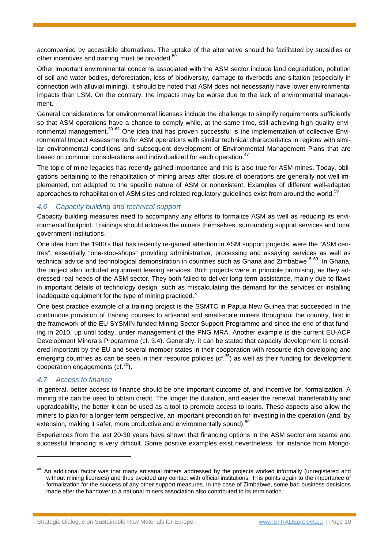accompanied by accessible alternatives. The uptake of the alternative should be facilitated by subsidies or other incentives and training must be provided.<sup>5</sup>

Other important environmental concerns associated with the ASM sector include land degradation, pollution of soil and water bodies, deforestation, loss of biodiversity, damage to riverbeds and siltation (especially in connection with alluvial mining). It should be noted that ASM does not necessarily have lower environmental impacts than LSM. On the contrary, the impacts may be worse due to the lack of environmental management.

General considerations for environmental licenses include the challenge to simplify requirements sufficiently so that ASM operations have a chance to comply while, at the same time, still achieving high quality envi-ronmental management.<sup>[59](#page-6-2) [63](#page-7-2)</sup> One idea that has proven successful is the implementation of collective Environmental Impact Assessments for ASM operations with similar technical characteristics in regions with similar environmental conditions and subsequent development of Environmental Management Plans that are based on common considerations and individualized for each operation.<sup>[47](#page-4-6)</sup>

The topic of mine legacies has recently gained importance and this is also true for ASM mines. Today, obligations pertaining to the rehabilitation of mining areas after closure of operations are generally not well implemented, not adapted to the specific nature of ASM or nonexistent. Examples of different well-adapted approaches to rehabilitation of ASM sites and related regulatory quidelines exist from around the world.<sup>[59](#page-6-2)</sup>

## *4.6 Capacity building and technical support*

Capacity building measures need to accompany any efforts to formalize ASM as well as reducing its environmental footprint. Trainings should address the miners themselves, surrounding support services and local government institutions.

<span id="page-9-2"></span>One idea from the 1980's that has recently re-gained attention in ASM support projects, were the "ASM centres", essentially "one-stop-shops" providing administrative, processing and assaying services as well as technical advice and technological demonstration in countries such as Ghana and Zimbabwe<sup>[15](#page-2-1) [69](#page-19-6)</sup>. In Ghana, the project also included equipment leasing services. Both projects were in principle promising, as they addressed real needs of the ASM sector. They both failed to deliver long-term assistance, mainly due to flaws in important details of technology design, such as miscalculating the demand for the services or installing inadequate equipment for the type of mining practiced.<sup>[xiii](#page-9-1)</sup>

One best practice example of a training project is the SSMTC in Papua New Guinea that succeeded in the continuous provision of training courses to artisanal and small-scale miners throughout the country, first in the framework of the EU SYSMIN funded Mining Sector Support Programme and since the end of that funding in 2010, up until today, under management of the PNG MRA. Another example is the current EU-ACP Development Minerals Programme (cf. [3.4\)](#page-5-0). Generally, it can be stated that capacity development is considered important by the EU and several member states in their cooperation with resource-rich developing and emerging countries as can be seen in their resource policies (cf. $35$ ) as well as their funding for development cooperation engagements  $(cf.<sup>70</sup>)$ .

## <span id="page-9-0"></span>*4.7 Access to finance*

j

In general, better access to finance should be one important outcome of, and incentive for, formalization. A mining title can be used to obtain credit. The longer the duration, and easier the renewal, transferability and upgradeability, the better it can be used as a tool to promote access to loans. These aspects also allow the miners to plan for a longer-term perspective, an important precondition for investing in the operation (and, by extension, making it safer, more productive and environmentally sound).<sup>[59](#page-6-2)</sup>

Experiences from the last 20-30 years have shown that financing options in the ASM sector are scarce and successful financing is very difficult. Some positive examples exist nevertheless, for instance from Mongo-

<span id="page-9-1"></span>xiii An additional factor was that many artisanal miners addressed by the projects worked informally (unregistered and without mining licenses) and thus avoided any contact with official institutions. This points again to the importance of formalization for the success of any other support measures. In the case of Zimbabwe, some bad business decisions made after the handover to a national miners association also contributed to its termination.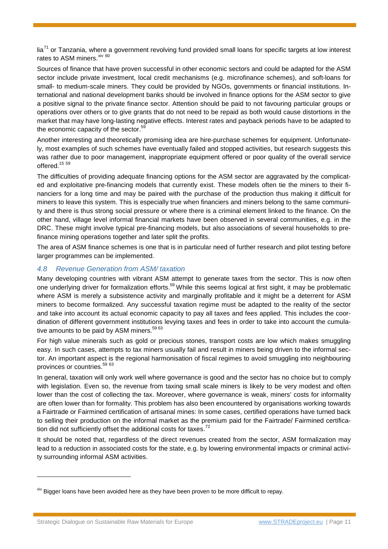<span id="page-10-1"></span> $\ln$ <sup>[71](#page-19-8)</sup> or Tanzania, where a government revolving fund provided small loans for specific targets at low interest rates to ASM miners. Xiv [60](#page-6-3)

Sources of finance that have proven successful in other economic sectors and could be adapted for the ASM sector include private investment, local credit mechanisms (e.g. microfinance schemes), and soft-loans for small- to medium-scale miners. They could be provided by NGOs, governments or financial institutions. International and national development banks should be involved in finance options for the ASM sector to give a positive signal to the private finance sector. Attention should be paid to not favouring particular groups or operations over others or to give grants that do not need to be repaid as both would cause distortions in the market that may have long-lasting negative effects. Interest rates and payback periods have to be adapted to the economic capacity of the sector.<sup>[59](#page-6-2)</sup>

Another interesting and theoretically promising idea are hire-purchase schemes for equipment. Unfortunately, most examples of such schemes have eventually failed and stopped activities, but research suggests this was rather due to poor management, inappropriate equipment offered or poor quality of the overall service offered.<sup>15</sup> [59](#page-6-2)

The difficulties of providing adequate financing options for the ASM sector are aggravated by the complicated and exploitative pre-financing models that currently exist. These models often tie the miners to their financiers for a long time and may be paired with the purchase of the production thus making it difficult for miners to leave this system. This is especially true when financiers and miners belong to the same community and there is thus strong social pressure or where there is a criminal element linked to the finance. On the other hand, village level informal financial markets have been observed in several communities, e.g. in the DRC. These might involve typical pre-financing models, but also associations of several households to prefinance mining operations together and later split the profits.

The area of ASM finance schemes is one that is in particular need of further research and pilot testing before larger programmes can be implemented.

## *4.8 Revenue Generation from ASM/ taxation*

Many developing countries with vibrant ASM attempt to generate taxes from the sector. This is now often one underlying driver for formalization efforts.<sup>[59](#page-6-2)</sup> While this seems logical at first sight, it may be problematic where ASM is merely a subsistence activity and marginally profitable and it might be a deterrent for ASM miners to become formalized. Any successful taxation regime must be adapted to the reality of the sector and take into account its actual economic capacity to pay all taxes and fees applied. This includes the coordination of different government institutions levying taxes and fees in order to take into account the cumula-tive amounts to be paid by ASM miners.<sup>59 [63](#page-7-2)</sup>

For high value minerals such as gold or precious stones, transport costs are low which makes smuggling easy. In such cases, attempts to tax miners usually fail and result in miners being driven to the informal sector. An important aspect is the regional harmonisation of fiscal regimes to avoid smuggling into neighbouring provinces or countries.<sup>[59](#page-6-2) [63](#page-7-2)</sup>

In general, taxation will only work well where governance is good and the sector has no choice but to comply with legislation. Even so, the revenue from taxing small scale miners is likely to be very modest and often lower than the cost of collecting the tax. Moreover, where governance is weak, miners' costs for informality are often lower than for formality. This problem has also been encountered by organisations working towards a Fairtrade or Fairmined certification of artisanal mines: In some cases, certified operations have turned back to selling their production on the informal market as the premium paid for the Fairtrade/ Fairmined certification did not sufficiently offset the additional costs for taxes. $72$ 

It should be noted that, regardless of the direct revenues created from the sector, ASM formalization may lead to a reduction in associated costs for the state, e.g. by lowering environmental impacts or criminal activity surrounding informal ASM activities.

<span id="page-10-0"></span><sup>&</sup>lt;sup>xiv</sup> Bigger loans have been avoided here as they have been proven to be more difficult to repay.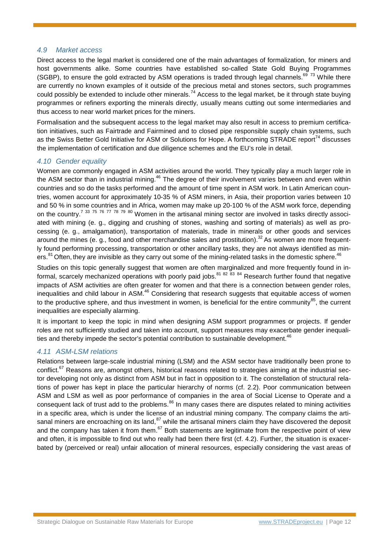#### *4.9 Market access*

Direct access to the legal market is considered one of the main advantages of formalization, for miners and host governments alike. Some countries have established so-called State Gold Buying Programmes (SGBP), to ensure the gold extracted by ASM operations is traded through legal channels.<sup>[69](#page-9-2) [73](#page-19-10)</sup> While there are currently no known examples of it outside of the precious metal and stones sectors, such programmes could possibly be extended to include other minerals.<sup>[74](#page-19-11)</sup> Access to the legal market, be it through state buying programmes or refiners exporting the minerals directly, usually means cutting out some intermediaries and thus access to near world market prices for the miners.

<span id="page-11-0"></span>Formalisation and the subsequent access to the legal market may also result in access to premium certification initiatives, such as Fairtrade and Fairmined and to closed pipe responsible supply chain systems, such as the Swiss Better Gold Initiative for ASM or Solutions for Hope. A forthcoming STRADE report<sup>[74](#page-11-0)</sup> discusses the implementation of certification and due diligence schemes and the EU's role in detail.

#### *4.10 Gender equality*

Women are commonly engaged in ASM activities around the world. They typically play a much larger role in the ASM sector than in industrial mining.<sup>[46](#page-4-7)</sup> The degree of their involvement varies between and even within countries and so do the tasks performed and the amount of time spent in ASM work. In Latin American countries, women account for approximately 10-35 % of ASM miners, in Asia, their proportion varies between 10 and 50 % in some countries and in Africa, women may make up 20-100 % of the ASM work force, depending on the country.<sup>[7](#page-1-4) [33](#page-3-5) [75](#page-19-12) [76](#page-19-13) [77](#page-19-14) [78](#page-19-15) [79](#page-19-16) [80](#page-19-17)</sup> Women in the artisanal mining sector are involved in tasks directly associated with mining (e. g., digging and crushing of stones, washing and sorting of materials) as well as processing (e. g., amalgamation), transportation of materials, trade in minerals or other goods and services around the mines (e. g., food and other merchandise sales and prostitution).<sup>[32](#page-3-6)</sup> As women are more frequently found performing processing, transportation or other ancillary tasks, they are not always identified as min-ers.<sup>[81](#page-19-18)</sup> Often, they are invisible as they carry out some of the mining-related tasks in the domestic sphere.<sup>[46](#page-4-7)</sup>

<span id="page-11-1"></span>Studies on this topic generally suggest that women are often marginalized and more frequently found in in-formal, scarcely mechanized operations with poorly paid jobs.<sup>[81](#page-11-1) [82](#page-19-19) [83](#page-19-20)</sup> [84](#page-19-21) Research further found that negative impacts of ASM activities are often greater for women and that there is a connection between gender roles, inequalities and child labour in ASM.<sup>[46](#page-4-7)</sup> Considering that research suggests that equitable access of women to the productive sphere, and thus investment in women, is beneficial for the entire community $^{85}$  $^{85}$  $^{85}$ , the current inequalities are especially alarming.

It is important to keep the topic in mind when designing ASM support programmes or projects. If gender roles are not sufficiently studied and taken into account, support measures may exacerbate gender inequali-ties and thereby impede the sector's potential contribution to sustainable development.<sup>[46](#page-4-7)</sup>

#### *4.11 ASM-LSM relations*

<span id="page-11-2"></span>Relations between large-scale industrial mining (LSM) and the ASM sector have traditionally been prone to conflict.<sup>67</sup> Reasons are, amongst others, historical reasons related to strategies aiming at the industrial sector developing not only as distinct from ASM but in fact in opposition to it. The constellation of structural relations of power has kept in place the particular hierarchy of norms (cf. [2.2\)](#page-2-2). Poor communication between ASM and LSM as well as poor performance of companies in the area of Social License to Operate and a consequent lack of trust add to the problems.<sup>[86](#page-20-0)</sup> In many cases there are disputes related to mining activities in a specific area, which is under the license of an industrial mining company. The company claims the artisanal miners are encroaching on its land, $87$  while the artisanal miners claim they have discovered the deposit and the company has taken it from them.<sup>[67](#page-7-0)</sup> Both statements are legitimate from the respective point of view and often, it is impossible to find out who really had been there first (cf. [4.2\)](#page-7-3). Further, the situation is exacerbated by (perceived or real) unfair allocation of mineral resources, especially considering the vast areas of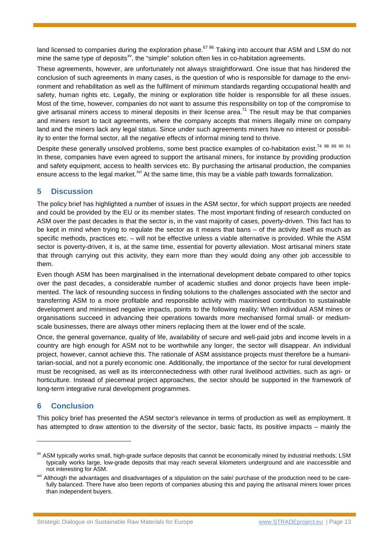land licensed to companies during the exploration phase.<sup>[67](#page-7-0) [86](#page-11-2)</sup> Taking into account that ASM and LSM do not mine the same type of deposits<sup> $x$ </sup>, the "simple" solution often lies in co-habitation agreements.

These agreements, however, are unfortunately not always straightforward. One issue that has hindered the conclusion of such agreements in many cases, is the question of who is responsible for damage to the environment and rehabilitation as well as the fulfilment of minimum standards regarding occupational health and safety, human rights etc. Legally, the mining or exploration title holder is responsible for all these issues. Most of the time, however, companies do not want to assume this responsibility on top of the compromise to give artisanal miners access to mineral deposits in their license area.<sup>[71](#page-10-1)</sup> The result may be that companies and miners resort to tacit agreements, where the company accepts that miners illegally mine on company land and the miners lack any legal status. Since under such agreements miners have no interest or possibility to enter the formal sector, all the negative effects of informal mining tend to thrive.

Despite these generally unsolved problems, some best practice examples of co-habitation exist.<sup>74</sup> [88](#page-20-2) [89](#page-20-3) [90](#page-20-4) [91](#page-20-5) In these, companies have even agreed to support the artisanal miners, for instance by providing production and safety equipment, access to health services etc. By purchasing the artisanal production, the companies ensure access to the legal market.<sup>[xvi](#page-12-1)</sup> At the same time, this may be a viable path towards formalization.

# **5 Discussion**

The policy brief has highlighted a number of issues in the ASM sector, for which support projects are needed and could be provided by the EU or its member states. The most important finding of research conducted on ASM over the past decades is that the sector is, in the vast majority of cases, poverty-driven. This fact has to be kept in mind when trying to regulate the sector as it means that bans – of the activity itself as much as specific methods, practices etc. – will not be effective unless a viable alternative is provided. While the ASM sector is poverty-driven, it is, at the same time, essential for poverty alleviation. Most artisanal miners state that through carrying out this activity, they earn more than they would doing any other job accessible to them.

Even though ASM has been marginalised in the international development debate compared to other topics over the past decades, a considerable number of academic studies and donor projects have been implemented. The lack of resounding success in finding solutions to the challenges associated with the sector and transferring ASM to a more profitable and responsible activity with maximised contribution to sustainable development and minimised negative impacts, points to the following reality: When individual ASM mines or organisations succeed in advancing their operations towards more mechanised formal small- or mediumscale businesses, there are always other miners replacing them at the lower end of the scale.

Once, the general governance, quality of life, availability of secure and well-paid jobs and income levels in a country are high enough for ASM not to be worthwhile any longer, the sector will disappear. An individual project, however, cannot achieve this. The rationale of ASM assistance projects must therefore be a humanitarian-social, and not a purely economic one. Additionally, the importance of the sector for rural development must be recognised, as well as its interconnectedness with other rural livelihood activities, such as agri- or horticulture. Instead of piecemeal project approaches, the sector should be supported in the framework of long-term integrative rural development programmes.

# **6 Conclusion**

j

This policy brief has presented the ASM sector's relevance in terms of production as well as employment. It has attempted to draw attention to the diversity of the sector, basic facts, its positive impacts – mainly the

<span id="page-12-0"></span>xv ASM typically works small, high-grade surface deposits that cannot be economically mined by industrial methods; LSM typically works large, low-grade deposits that may reach several kilometers underground and are inaccessible and not interesting for ASM.

<span id="page-12-1"></span><sup>&</sup>lt;sup>xvi</sup> Although the advantages and disadvantages of a stipulation on the sale/ purchase of the production need to be carefully balanced. There have also been reports of companies abusing this and paying the artisanal miners lower prices than independent buyers.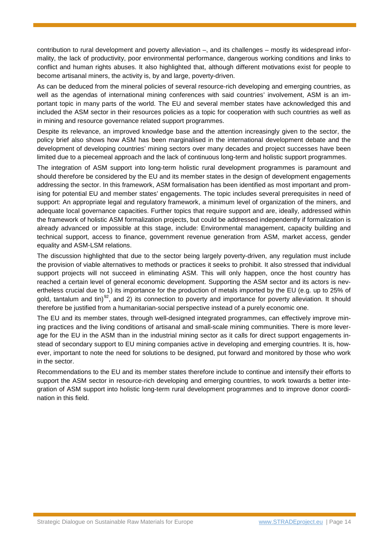contribution to rural development and poverty alleviation –, and its challenges – mostly its widespread informality, the lack of productivity, poor environmental performance, dangerous working conditions and links to conflict and human rights abuses. It also highlighted that, although different motivations exist for people to become artisanal miners, the activity is, by and large, poverty-driven.

As can be deduced from the mineral policies of several resource-rich developing and emerging countries, as well as the agendas of international mining conferences with said countries' involvement, ASM is an important topic in many parts of the world. The EU and several member states have acknowledged this and included the ASM sector in their resources policies as a topic for cooperation with such countries as well as in mining and resource governance related support programmes.

Despite its relevance, an improved knowledge base and the attention increasingly given to the sector, the policy brief also shows how ASM has been marginalised in the international development debate and the development of developing countries' mining sectors over many decades and project successes have been limited due to a piecemeal approach and the lack of continuous long-term and holistic support programmes.

The integration of ASM support into long-term holistic rural development programmes is paramount and should therefore be considered by the EU and its member states in the design of development engagements addressing the sector. In this framework, ASM formalisation has been identified as most important and promising for potential EU and member states' engagements. The topic includes several prerequisites in need of support: An appropriate legal and regulatory framework, a minimum level of organization of the miners, and adequate local governance capacities. Further topics that require support and are, ideally, addressed within the framework of holistic ASM formalization projects, but could be addressed independently if formalization is already advanced or impossible at this stage, include: Environmental management, capacity building and technical support, access to finance, government revenue generation from ASM, market access, gender equality and ASM-LSM relations.

The discussion highlighted that due to the sector being largely poverty-driven, any regulation must include the provision of viable alternatives to methods or practices it seeks to prohibit. It also stressed that individual support projects will not succeed in eliminating ASM. This will only happen, once the host country has reached a certain level of general economic development. Supporting the ASM sector and its actors is nevertheless crucial due to 1) its importance for the production of metals imported by the EU (e.g. up to 25% of gold, tantalum and tin)<sup>92</sup>, and 2) its connection to poverty and importance for poverty alleviation. It should therefore be justified from a humanitarian-social perspective instead of a purely economic one.

The EU and its member states, through well-designed integrated programmes, can effectively improve mining practices and the living conditions of artisanal and small-scale mining communities. There is more leverage for the EU in the ASM than in the industrial mining sector as it calls for direct support engagements instead of secondary support to EU mining companies active in developing and emerging countries. It is, however, important to note the need for solutions to be designed, put forward and monitored by those who work in the sector.

Recommendations to the EU and its member states therefore include to continue and intensify their efforts to support the ASM sector in resource-rich developing and emerging countries, to work towards a better integration of ASM support into holistic long-term rural development programmes and to improve donor coordination in this field.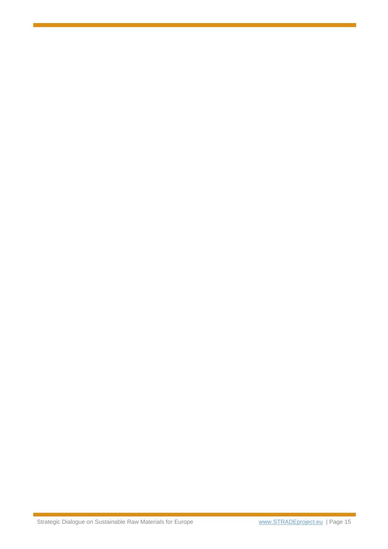# Strategic Dialogue on Sustainable Raw Materials for Europe [www.STRADEproject.eu](http://www.stradeproject.eu/) | Page 15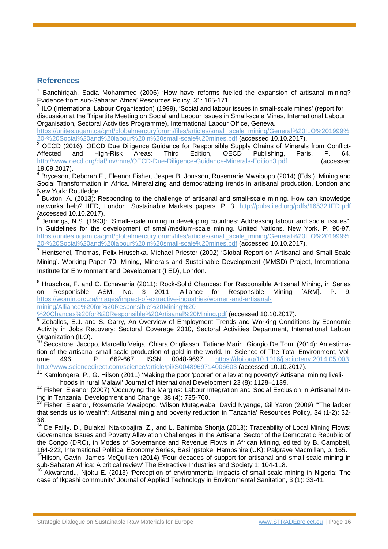## **References**

 $1$  Banchirigah, Sadia Mohammed (2006) 'How have reforms fuelled the expansion of artisanal mining? Evidence from sub-Saharan Africa' Resources Policy, 31: 165-171.

<sup>2</sup> ILO (International Labour Organisation) (1999), 'Social and labour issues in small-scale mines' (report for discussion at the Tripartite Meeting on Social and Labour Issues in Small-scale Mines, International Labour Organisation, Sectoral Activities Programme), International Labour Office, Geneva.

[https://unites.uqam.ca/gmf/globalmercuryforum/files/articles/small\\_scale\\_mining/General%20ILO%201999%](https://unites.uqam.ca/gmf/globalmercuryforum/files/articles/small_scale_mining/General%20ILO%201999%20-%20Social%20and%20labour%20in%20small-scale%20mines.pdf)<br>20-%20Social%20and%20labour%20in%20small-scale%20mines.pdf (accessed 10.10.2017).

 $\frac{3}{2}$  OECD (2016), OECD Due Diligence Guidance for Responsible Supply Chains of Minerals from Conflict-<br>Affected and High-Risk Areas: Third Edition, OECD Publishing, Paris. P. 64. Affected and High-Risk Areas: Third Edition, OECD Publishing, Paris. P. 64.<br>http://www.oecd.org/daf/inv/mne/OECD-Due-Diligence-Guidance-Minerals-Edition3.pdf (accessed <http://www.oecd.org/daf/inv/mne/OECD-Due-Diligence-Guidance-Minerals-Edition3.pdf> 19.09.2017).

<sup>4</sup> Bryceson, Deborah F., Eleanor Fisher, Jesper B. Jonsson, Rosemarie Mwaipopo (2014) (Eds.): Mining and Social Transformation in Africa. Mineralizing and democratizing trends in artisanal production. London and New York: Routledge.

<sup>5</sup> Buxton, A. (2013): Responding to the challenge of artisanal and small-scale mining. How can knowledge networks help? IIED, London. Sustainable Markets papers. P. 3.<http://pubs.iied.org/pdfs/16532IIED.pdf> (accessed 10.10.2017).

Jennings, N.S. (1993): "Small-scale mining in developing countries: Addressing labour and social issues", in Guidelines for the development of small/medium-scale mining. United Nations, New York. P. 90-97. [https://unites.uqam.ca/gmf/globalmercuryforum/files/articles/small\\_scale\\_mining/General%20ILO%201999%](https://unites.uqam.ca/gmf/globalmercuryforum/files/articles/small_scale_mining/General%20ILO%201999%20-%20Social%20and%20labour%20in%20small-scale%20mines.pdf) [20-%20Social%20and%20labour%20in%20small-scale%20mines.pdf](https://unites.uqam.ca/gmf/globalmercuryforum/files/articles/small_scale_mining/General%20ILO%201999%20-%20Social%20and%20labour%20in%20small-scale%20mines.pdf) (accessed 10.10.2017).

<sup>7</sup> Hentschel, Thomas, Felix Hruschka, Michael Priester (2002) 'Global Report on Artisanal and Small-Scale Mining'. Working Paper 70, Mining, Minerals and Sustainable Development (MMSD) Project, International Institute for Environment and Development (IIED), London.

 $8$  Hruschka, F. and C. Echavarria (2011): Rock-Solid Chances: For Responsible Artisanal Mining, in Series<br>
on Responisble ASM. No. 3 2011. Alliance for Responsible Mining [ARM]. P. 9. on Responisble ASM, No. 3 2011, Alliance for Responsible Mining [ARM]. P. [https://womin.org.za/images/impact-of-extractive-industries/women-and-artisanal-](https://womin.org.za/images/impact-of-extractive-industries/women-and-artisanal-mining/Alliance%20for%20Responsible%20Mining%20-%20Chances%20for%20Responsible%20Artisanal%20Mining.pdf)

[mining/Alliance%20for%20Responsible%20Mining%20-](https://womin.org.za/images/impact-of-extractive-industries/women-and-artisanal-mining/Alliance%20for%20Responsible%20Mining%20-%20Chances%20for%20Responsible%20Artisanal%20Mining.pdf)<br>%20Chances%20for%20Responsible%20Artisanal%20Mining.pdf (accessed 10.10.2017).

**EXPONSIBLES AZORTISAS RESPONSIBLE ARTISTS ARTISTS CONTRIGUES** (accessed 10.101.10.10.10.10.10.10.10.10.10.10.10<br><sup>9</sup> Zeballos, E.J. and S. Garry, An Overview of Employment Trends and Working Conditions by Economic Activity in Jobs Recovery: Sectoral Coverage 2010, Sectoral Activities Department, International Labour Organization (ILO).

10 Seccatore, Jacopo, Marcello Veiga, Chiara Origliasso, Tatiane Marin, Giorgio De Tomi (2014): An estimation of the artisanal small-scale production of gold in the world. In: Science of The Total Environment, Volume 496, P. 662-667, ISSN 0048-9697, https://doi.org/10.1016/j.scitotenv.2014.05.003. ume 496, P. 662-667, ISSN 0048-9697, [https://doi.org/10.1016/j.scitotenv.2014.05.003.](https://doi.org/10.1016/j.scitotenv.2014.05.003) <http://www.sciencedirect.com/science/article/pii/S0048969714006603> (accessed 10.10.2017).

<sup>11</sup> Kamlongera, P., G. Hilson (2011) 'Making the poor 'poorer' or alleviating poverty? Artisanal mining livelihoods in rural Malawi' Journal of International Development 23 (8): 1128–1139.

<sup>12</sup> Fisher, Eleanor (2007) 'Occupying the Margins: Labour Integration and Social Exclusion in Artisanal Mining in Tanzania' Development and Change, 38 (4): 735-760.

<sup>13</sup> Fisher, Eleanor, Rosemarie Mwaipopo, Wilson Mutagwaba, David Nyange, Gil Yaron (2009) "The ladder that sends us to wealth": Artisanal minig and poverty reduction in Tanzania' Resources Policy, 34 (1-2): 32- 38.

<sup>14</sup> De Failly. D., Bulakali Ntakobajira, Z., and L. Bahimba Shonja (2013): Traceability of Local Mining Flows: Governance Issues and Poverty Alleviation Challenges in the Artisanal Sector of the Democratic Republic of the Congo (DRC), in Modes of Governance and Revenue Flows in African Mining, edited by B. Campbell, 164-222, International Political Economy Series, Basingstoke, Hampshire (UK): Palgrave Macmillan, p. 165.

<sup>15</sup>Hilson, Gavin, James McQuilken (2014) 'Four decades of support for artisanal and small-scale mining in sub-Saharan Africa: A critical review' The Extractive Industries and Society 1: 104-118.

<sup>16</sup> Akwarandu, Njoku E. (2013) 'Perception of environmental impacts of small-scale mining in Nigeria: The case of Ikpeshi community' Journal of Applied Technology in Environmental Sanitation, 3 (1): 33-41.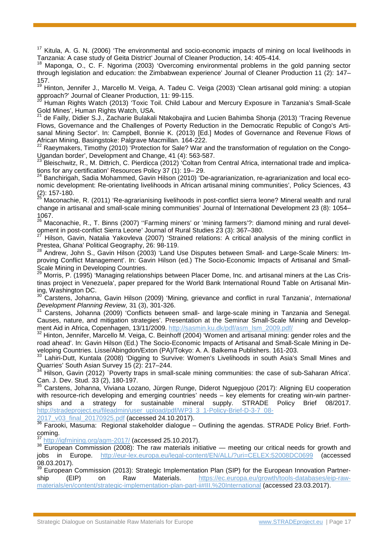$17$  Kitula, A. G. N. (2006) 'The environmental and socio-economic impacts of mining on local livelihoods in Tanzania: A case study of Geita District' Journal of Cleaner Production, 14: 405-414.

<sup>18</sup> Maponga, O., C. F. Ngorima (2003) 'Overcoming environmental problems in the gold panning sector through legislation and education: the Zimbabwean experience' Journal of Cleaner Production 11 (2): 147– 157.

<span id="page-16-0"></span><sup>19</sup> Hinton, Jennifer J., Marcello M. Veiga, A. Tadeu C. Veiga (2003) 'Clean artisanal gold mining: a utopian approach?' Journal of Cleaner Production, 11: 99-115.

<span id="page-16-1"></span>Human Rights Watch (2013) 'Toxic Toil. Child Labour and Mercury Exposure in Tanzania's Small-Scale Gold Mines', Human Rights Watch, USA.

<sup>21</sup> de Failly, Didier S.J., Zacharie Bulakali Ntakobajira and Lucien Bahimba Shonja (2013) 'Tracing Revenue Flows, Governance and the Challenges of Poverty Reduction in the Democratic Republic of Congo's Artisanal Mining Sector'. In: Campbell, Bonnie K. (2013) [Ed.] Modes of Governance and Revenue Flows of African Mining, Basingstoke: Palgrave Macmillan. 164-222.

<span id="page-16-2"></span><sup>22</sup> Raeymakers, Timothy (2010) 'Protection for Sale? War and the transformation of regulation on the Congo-Ugandan border', Development and Change, 41 (4): 563-587.

<sup>23</sup> Bleischwitz, R., M. Dittrich, C. Pierdicca (2012) 'Coltan from Central Africa, international trade and implications for any certification' Resources Policy 37 (1): 19– 29.

<span id="page-16-3"></span><sup>24</sup> Banchirigah, Sadia Mohammed, Gavin Hilson (2010) 'De-agrarianization, re-agrarianization and local economic development: Re-orientating livelihoods in African artisanal mining communities', Policy Sciences, 43 (2): 157-180.

<span id="page-16-4"></span><sup>25</sup> Maconachie, R. (2011) 'Re-agrarianising livelihoods in post-conflict sierra leone? Mineral wealth and rural change in artisanal and small-scale mining communities' Journal of International Development 23 (8): 1054– 1067.

<span id="page-16-5"></span><sup>26</sup> Maconachie, R., T. Binns (2007) "Farming miners' or 'mining farmers'?: diamond mining and rural development in post-conflict Sierra Leone' Journal of Rural Studies 23 (3): 367–380.

<sup>27</sup> Hilson, Gavin, Natalia Yakovleva (2007) 'Strained relations: A critical analysis of the mining conflict in Prestea, Ghana' Political Geography, 26: 98-119.

<span id="page-16-6"></span><sup>28</sup> Andrew, John S., Gavin Hilson (2003) 'Land Use Disputes between Small- and Large-Scale Miners: Improving Conflict Management'. In: Gavin Hilson (ed.) The Socio-Economic Impacts of Artisanal and Small-Scale Mining in Developing Countries.

<span id="page-16-7"></span><sup>29</sup> Morris, P. (1995) 'Managing relationships between Placer Dome, Inc. and artisanal miners at the Las Cristinas project in Venezuela', paper prepared for the World Bank International Round Table on Artisanal Mining, Washington DC.

<sup>30</sup> Carstens, Johanna, Gavin Hilson (2009) 'Mining, grievance and conflict in rural Tanzania', *International Development Planning Review,* 31 (3), 301-326.

<span id="page-16-8"></span>31 Carstens, Johanna (2009) 'Conflicts between small- and large-scale mining in Tanzania and Senegal. Causes, nature, and mitigation strategies'. Presentation at the Seminar Small-Scale Mining and Develop-<br>ment Aid in Africa. Copenhagen. 13/11/2009. http://sasmin.ku.dk/pdf/asm Jsm 2009.pdf/

<span id="page-16-9"></span> $32$  Hinton, Jennifer, Marcello M. Veiga, C. Beinhoff (2004) 'Women and artisanal mining: gender roles and the road ahead'. In: Gavin Hilson (Ed.) The Socio-Economic Impacts of Artisanal and Small-Scale Mining in Developing Countries. Lisse/Abingdon/Exton (PA)/Tokyo: A. A. Balkema Publishers. 161-203.

Lahiri-Dutt, Kuntala (2008) 'Digging to Survive: Women's Livelihoods in south Asia's Small Mines and Quarries' South Asian Survey 15 (2): 217–244.

<span id="page-16-10"></span><sup>34</sup> Hilson, Gavin (2012) `Poverty traps in small-scale mining communities: the case of sub-Saharan Africa'. Can. J. Dev. Stud. 33 (2), 180-197.

<span id="page-16-11"></span><sup>35</sup> Carstens, Johanna, Viviana Lozano, Jürgen Runge, Diderot Nguepjouo (2017): Aligning EU cooperation with resource-rich developing and emerging countries' needs – key elements for creating win-win partnerships and a strategy for sustainable mineral supply. STRADE Policy Brief 08/2017. [http://stradeproject.eu/fileadmin/user\\_upload/pdf/WP3\\_3\\_1-Policy-Brief-D-3-7\\_08-](http://stradeproject.eu/fileadmin/user_upload/pdf/WP3_3_1-Policy-Brief-D-3-7_08-2017_v03_final_20170925.pdf)<br>2017\_v03\_final\_20170925.pdf (accessed 24.10.2017).

<span id="page-16-12"></span>

<span id="page-16-13"></span>Farooki, Masuma: Regional stakeholder dialogue – Outlining the agendas. STRADE Policy Brief. Forthcoming.<br><sup>37</sup> http://jafmining.org/agm-2017/ (accessed 25.10.2017).

<span id="page-16-14"></span><sup>38</sup> European Commission (2008): The raw materials initiative — meeting our critical needs for growth and jobs in Europe. <http://eur-lex.europa.eu/legal-content/EN/ALL/?uri=CELEX:52008DC0699> (accessed 08.03.2017).

<span id="page-16-15"></span>European Commission (2013): Strategic Implementation Plan (SIP) for the European Innovation Partner-<br>1990 (EIP) on Raw Materials. https://ec.europa.eu/growth/tools-databases/eip-rawship (EIP) on Raw Materials. [https://ec.europa.eu/growth/tools-databases/eip-raw](https://ec.europa.eu/growth/tools-databases/eip-raw-materials/en/content/strategic-implementation-plan-part-ii#III.%20International)[materials/en/content/strategic-implementation-plan-part-ii#III.%20International](https://ec.europa.eu/growth/tools-databases/eip-raw-materials/en/content/strategic-implementation-plan-part-ii#III.%20International) (accessed 23.03.2017).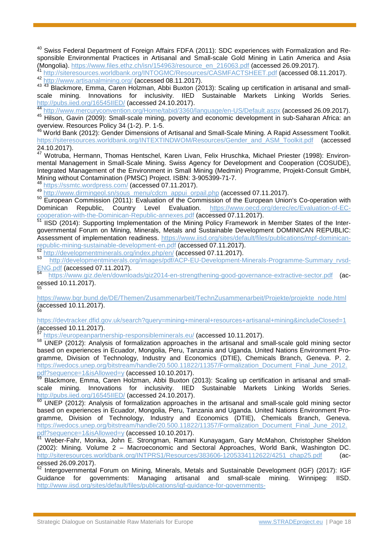<span id="page-17-0"></span> $40$  Swiss Federal Department of Foreign Affairs FDFA (2011): SDC experiences with Formalization and Responsible Environmental Practices in Artisanal and Small-scale Gold Mining in Latin America and Asia<br>(Mongolia). https://www.files.ethz.ch/isn/154963/resource\_en\_216063.pdf (accessed 26.09.2017).

<span id="page-17-2"></span>

<span id="page-17-1"></span>41 <http://siteresources.worldbank.org/INTOGMC/Resources/CASMFACTSHEET.pdf> (accessed 08.11.2017).<br>42 <http://www.artisanalmining.org/> (accessed 08.11.2017).<br><sup>43 43</sup> Blackmore, Emma, Caren Holzman, Abbi Buxton (2013): Scaling scale mining. Innovations for inclusivity. IIED Sustainable Markets Linking Worlds Series.<br>http://pubs.iied.org/16545IIED/ (accessed 24.10.2017).

<span id="page-17-4"></span><span id="page-17-3"></span>45 <http://www.mercuryconvention.org/Home/tabid/3360/language/en-US/Default.aspx> (accessed 26.09.2017).<br>45 Hilson, Gavin (2009): Small-scale mining, poverty and economic development in sub-Saharan Africa: an overview. Resources Policy 34 (1-2). P. 1-5.

<sup>46</sup> World Bank (2012): Gender Dimensions of Artisanal and Small-Scale Mining. A Rapid Assessment Toolkit. [https://siteresources.worldbank.org/INTEXTINDWOM/Resources/Gender\\_and\\_ASM\\_Toolkit.pdf](https://siteresources.worldbank.org/INTEXTINDWOM/Resources/Gender_and_ASM_Toolkit.pdf) (accessed 24.10.2017).

<span id="page-17-6"></span><span id="page-17-5"></span>47 Wotruba, Hermann, Thomas Hentschel, Karen Livan, Felix Hruschka, Michael Priester (1998): Environmental Management in Small-Scale Mining. Swiss Agency for Development and Cooperation (COSUDE), Integrated Management of the Environment in Small Mining (Medmin) Programme, Projekt-Consult GmbH,

<span id="page-17-8"></span>

<span id="page-17-7"></span>Mining without Contamination (PMSC) Project. ISBN: 3-905399-71-7.<br><sup>48</sup> <https://ssmtc.wordpress.com/> (accessed 07.11.2017).<br><sup>49</sup> [http://www.dirmingeol.sn/sous\\_menu/cdcm\\_appui\\_orpail.php](http://www.dirmingeol.sn/sous_menu/cdcm_appui_orpail.php) (accessed 07.11.2017).<br><sup>50</sup> European Dominican Republic, Country Level Evaluation. https://www.oecd.org/derec/ec/Evaluation-of-EC-<br>cooperation-with-the-Dominican-Republic-annexes.pdf (accessed 07.11.2017).

<span id="page-17-9"></span><sup>51</sup> IISD (2014): Supporting Implementation of the Mining Policy Framework in Member States of the Intergovernmental Forum on Mining, Minerals, Metals and Sustainable Development DOMINICAN REPUBLIC: Assessment of implementation readiness. https://www.iisd.org/sites/default/files/publications/mpf-dominican-<br>republic-mining-sustainable-development-en.pdf (accessed 07.11.2017).

<span id="page-17-11"></span><span id="page-17-10"></span><sup>52</sup> <http://developmentminerals.org/index.php/en/> (accessed 07.11.2017).<br>
http://developmentminerals.org/images/pdf/ACP-EU-Development-Minerals-Programme-Summary\_rvsd-<br>
ENG.pdf (accessed 07.11.2017).

<span id="page-17-12"></span><https://www.giz.de/en/downloads/giz2014-en-strengthening-good-governance-extractive-sector.pdf> (accessed 10.11.2017). 55

<span id="page-17-13"></span>[https://www.bgr.bund.de/DE/Themen/Zusammenarbeit/TechnZusammenarbeit/Projekte/projekte\\_node.html](https://www.bgr.bund.de/DE/Themen/Zusammenarbeit/TechnZusammenarbeit/Projekte/projekte_node.html) (accessed 10.11.2017). 56

<span id="page-17-14"></span><https://devtracker.dfid.gov.uk/search?query=mining+mineral+resources+artisanal+mining&includeClosed=1> responsibleminerals.eu/ (accessed 10.11.2017).<br><sup>57</sup> https://europeanpartnership-responsibleminerals.eu/ (accessed 10.11.2017).

<span id="page-17-15"></span>58 UNEP (2012): Analysis of formalization approaches in the artisanal and small-scale gold mining sector based on experiences in Ecuador, Mongolia, Peru, Tanzania and Uganda. United Nations Environment Programme, Division of Technology, Industry and Economics (DTIE), Chemicals Branch, Geneva. P. 2. [https://wedocs.unep.org/bitstream/handle/20.500.11822/11357/Formalization\\_Document\\_Final\\_June\\_2012.](https://wedocs.unep.org/bitstream/handle/20.500.11822/11357/Formalization_Document_Final_June_2012.pdf?sequence=1&isAllowed=y)

<span id="page-17-17"></span><span id="page-17-16"></span>[pdf?sequence=1&isAllowed=y](https://wedocs.unep.org/bitstream/handle/20.500.11822/11357/Formalization_Document_Final_June_2012.pdf?sequence=1&isAllowed=y) (accessed 10.10.2017).<br><sup>59</sup> Blackmore, Emma, Caren Holzman, Abbi Buxton (2013): Scaling up certification in artisanal and smallscale mining. Innovations for inclusivity. IIED Sustainable Markets Linking Worlds Series.<br>http://pubs.iied.org/16545IIED/ (accessed 24.10.2017).

<span id="page-17-18"></span>60 UNEP (2012): Analysis of formalization approaches in the artisanal and small-scale gold mining sector based on experiences in Ecuador, Mongolia, Peru, Tanzania and Uganda. United Nations Environment Programme, Division of Technology, Industry and Economics (DTIE), Chemicals Branch, Geneva. [https://wedocs.unep.org/bitstream/handle/20.500.11822/11357/Formalization\\_Document\\_Final\\_June\\_2012.](https://wedocs.unep.org/bitstream/handle/20.500.11822/11357/Formalization_Document_Final_June_2012.pdf?sequence=1&isAllowed=y)<br>pdf?sequence=1&isAllowed=y (accessed 10.10.2017).

<span id="page-17-21"></span><span id="page-17-20"></span><span id="page-17-19"></span>81 Weber-Fahr, Monika, John E. Strongman, Ramani Kunayagam, Gary McMahon, Christopher Sheldon (2002): Mining. Volume 2 – Macroeconomic and Sectoral Approaches, World Bank, Washington DC. [http://siteresources.worldbank.org/INTPRS1/Resources/383606-1205334112622/4251\\_chap25.pdf](http://siteresources.worldbank.org/INTPRS1/Resources/383606-1205334112622/4251_chap25.pdf) (accessed 26.09.2017).

<span id="page-17-22"></span>Intergovernmental Forum on Mining, Minerals, Metals and Sustainable Development (IGF) (2017): IGF Guidance for governments: Managing artisanal and small-scale mining. Winnipeg: IISD. [http://www.iisd.org/sites/default/files/publications/igf-guidance-for-governments-](http://www.iisd.org/sites/default/files/publications/igf-guidance-for-governments-asm_0.pdf?utm_source=website-IGF&utm_medium=website&utm_campaign=asm-en)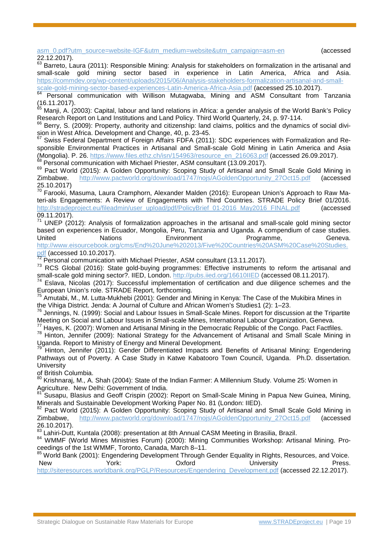<span id="page-18-0"></span>[asm\\_0.pdf?utm\\_source=website-IGF&utm\\_medium=website&utm\\_campaign=asm-en](http://www.iisd.org/sites/default/files/publications/igf-guidance-for-governments-asm_0.pdf?utm_source=website-IGF&utm_medium=website&utm_campaign=asm-en) (accessed 22.12.2017).

<span id="page-18-1"></span>63 Barreto, Laura (2011): Responsible Mining: Analysis for stakeholders on formalization in the artisanal and small-scale gold mining sector based in experience in Latin America, Africa and Asia. [https://commdev.org/wp-content/uploads/2015/06/Analysis-stakeholders-formalization-artisanal-and-small-](https://commdev.org/wp-content/uploads/2015/06/Analysis-stakeholders-formalization-artisanal-and-small-scale-gold-mining-sector-based-experiences-Latin-America-Africa-Asia.pdf)

<span id="page-18-3"></span><span id="page-18-2"></span>[scale-gold-mining-sector-based-experiences-Latin-America-Africa-Asia.pdf](https://commdev.org/wp-content/uploads/2015/06/Analysis-stakeholders-formalization-artisanal-and-small-scale-gold-mining-sector-based-experiences-Latin-America-Africa-Asia.pdf) (accessed 25.10.2017).<br><sup>64</sup> Personal communication with Willison Mutagwaba, Mining and ASM Consultant from Tanzania (16.11.2017).

<span id="page-18-4"></span><sup>65</sup> Manji, A. (2003): Capital, labour and land relations in Africa: a gender analysis of the World Bank's Policy Research Report on Land Institutions and Land Policy. Third World Quarterly, 24, p. 97-114.

<span id="page-18-5"></span> $66$  Berry, S. (2009): Property, authority and citizenship: land claims, politics and the dynamics of social division in West Africa. Development and Change, 40, p. 23-45.

<span id="page-18-6"></span>Swiss Federal Department of Foreign Affairs FDFA (2011): SDC experiences with Formalization and Responsible Environmental Practices in Artisanal and Small-scale Gold Mining in Latin America and Asia (Mongolia). P. 26. [https://www.files.ethz.ch/isn/154963/resource\\_en\\_216063.pdf](https://www.files.ethz.ch/isn/154963/resource_en_216063.pdf) (accessed 26.09.2017).<br><sup>68</sup> Personal communication with Michael Priester, ASM consultant (13.09.2017).<br><sup>69</sup> Pact World (2015): A Golden Opportu

<span id="page-18-7"></span>

Zimbabwe. http://www.pactworld.org/download/1747/nois/AGoldenOpportunity\_27Oct15.pdf (accessed 25.10.2017)

<span id="page-18-10"></span><span id="page-18-9"></span><span id="page-18-8"></span><sup>70</sup> Farooki, Masuma, Laura Cramphorn, Alexander Malden (2016): European Union's Approach to Raw Materi-als Engagements: A Review of Engagements with Third Countries. STRADE Policy Brief 01/2016. [http://stradeproject.eu/fileadmin/user\\_upload/pdf/PolicyBrief\\_01-2016\\_May2016\\_FINAL.pdf](http://stradeproject.eu/fileadmin/user_upload/pdf/PolicyBrief_01-2016_May2016_FINAL.pdf) (accessed

<span id="page-18-11"></span>09.11.2017).<br><sup>71</sup> UNEP (2012): Analysis of formalization approaches in the artisanal and small-scale gold mining sector based on experiences in Ecuador, Mongolia, Peru, Tanzania and Uganda. A compendium of case studies. United Nations Environment Programme, Geneva. [http://www.eisourcebook.org/cms/End%20June%202013/Five%20Countries%20ASM%20Case%20Studies.](http://www.eisourcebook.org/cms/End%20June%202013/Five%20Countries%20ASM%20Case%20Studies.pdf)

<span id="page-18-13"></span><span id="page-18-12"></span>[pdf](http://www.eisourcebook.org/cms/End%20June%202013/Five%20Countries%20ASM%20Case%20Studies.pdf) (accessed 10.10.2017).<br><sup>72</sup> Personal communication with Michael Priester, ASM consultant (13.11.2017).<br><sup>73</sup> RCS Global (2016): State gold-buying programmes: Effective instruments to reform the artisanal and<br>small-scal

<span id="page-18-14"></span> $74$  Eslava. Nicolas (2017): Successful implementation of certification and due diligence schemes and the European Union's role. STRADE Report, forthcoming.<br><sup>75</sup> Amutabi, M., M. Lutta-Mukhebi (2001): Gender and Mining in Kenya: The Case of the Mukibira Mines in

<span id="page-18-15"></span>the Vihiga District. Jenda: A Journal of Culture and African Women's Studies1 (2): 1–23.

<sup>76</sup> Jennings, N. (1999): Social and Labour Issues in Small-Scale Mines. Report for discussion at the Tripartite<br>Meeting on Social and Labour Issues in Small-scale Mines, International Labour Organization, Geneva.

<span id="page-18-17"></span><span id="page-18-16"></span><sup>77</sup> Hayes, K. (2007): Women and Artisanal Mining in the Democratic Republic of the Congo. Pact Factfiles.<br><sup>78</sup> Hinton, Jennifer (2009): National Strategy for the Advancement of Artisanal and Small Scale Mining in Uganda.

<span id="page-18-18"></span>Hinton, Jennifer (2011): Gender Differentiated Impacts and Benefits of Artisanal Mining: Engendering Pathways out of Poverty. A Case Study in Katwe Kabatooro Town Council, Uganda. Ph.D. dissertation. **University** 

of British Columbia.

<span id="page-18-19"></span><sup>80</sup> Krishnarai, M., A. Shah (2004): State of the Indian Farmer: A Millennium Study. Volume 25: Women in Agriculture. New Delhi: Government of India.

<sup>81</sup> Susapu, Blasius and Geoff Crispin (2002): Report on Small-Scale Mining in Papua New Guinea, Mining, Mining, Mining, Mining, Mining, Mining, Mining, Mining, Mining, Mining, Mining, Mining, Mining, Mining, Mining, Minin

<span id="page-18-20"></span>82 Pact World (2015): A Golden Opportunity: Scoping Study of Artisanal and Small Scale Gold Mining in Zimbabwe, [http://www.pactworld.org/download/1747/nojs/AGoldenOpportunity\\_27Oct15.pdf](http://www.pactworld.org/download/1747/nojs/AGoldenOpportunity_27Oct15.pdf) (accessed 26.10.2017).<br><sup>83</sup> Lahiri-Dutt, Kuntala (2008): presentation at 8th Annual CASM Meeting in Brasilia, Brazil.

<span id="page-18-21"></span>84 WMMF (World Mines Ministries Forum) (2000): Mining Communities Workshop: Artisanal Mining. Proceedings of the 1st WMMF, Toronto, Canada, March 8–11.

85 World Bank (2001): Engendering Development Through Gender Equality in Rights, Resources, and Voice. New York: Oxford University Press.

<span id="page-18-22"></span>[http://siteresources.worldbank.org/PGLP/Resources/Engendering\\_Development.pdf](http://siteresources.worldbank.org/PGLP/Resources/Engendering_Development.pdf) (accessed 22.12.2017).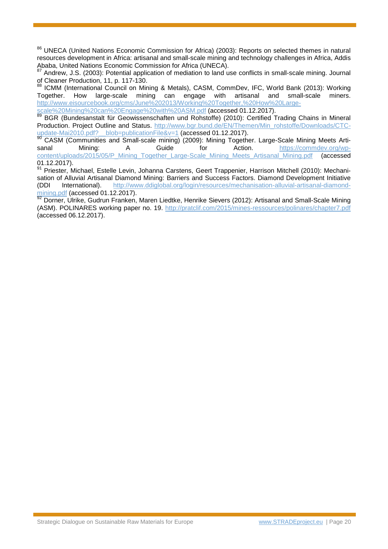<sup>86</sup> UNECA (United Nations Economic Commission for Africa) (2003): Reports on selected themes in natural resources development in Africa: artisanal and small-scale mining and technology challenges in Africa, Addis Ababa, United Nations Economic Commission for Africa (UNECA).

<span id="page-19-0"></span><sup>87</sup> Andrew, J.S. (2003): Potential application of mediation to land use conflicts in small-scale mining. Journal of Cleaner Production, 11, p. 117-130.

<span id="page-19-1"></span>88 ICMM (International Council on Mining & Metals), CASM, CommDev, IFC, World Bank (2013): Working Together. How large-scale mining can engage with artisanal and small-scale miners. [http://www.eisourcebook.org/cms/June%202013/Working%20Together,%20How%20Large](http://www.eisourcebook.org/cms/June%202013/Working%20Together,%20How%20Large-scale%20Mining%20can%20Engage%20with%20ASM.pdf)[scale%20Mining%20can%20Engage%20with%20ASM.pdf](http://www.eisourcebook.org/cms/June%202013/Working%20Together,%20How%20Large-scale%20Mining%20can%20Engage%20with%20ASM.pdf) (accessed 01.12.2017).<br>89 BGR (Bundesanstalt für Geowissenschaften und Rohstoffe) (2010): Certified Trading Chains in Mineral

<span id="page-19-2"></span>Production. Project Outline and Status. [http://www.bgr.bund.de/EN/Themen/Min\\_rohstoffe/Downloads/CTC-](http://www.bgr.bund.de/EN/Themen/Min_rohstoffe/Downloads/CTC-update-Mai2010.pdf?__blob=publicationFile&v=1)

<span id="page-19-4"></span><span id="page-19-3"></span>[update-Mai2010.pdf?\\_\\_blob=publicationFile&v=1](http://www.bgr.bund.de/EN/Themen/Min_rohstoffe/Downloads/CTC-update-Mai2010.pdf?__blob=publicationFile&v=1) (accessed 01.12.2017).<br><sup>90</sup> CASM (Communities and Small-scale mining) (2009): Mining Together. Large-Scale Mining Meets Arti-<br>sanal Mining: A Guide for Action. https://commdev. sanal Mining: A Guide for Action. [https://commdev.org/wp](https://commdev.org/wp-content/uploads/2015/05/P_Mining_Together_Large-Scale_Mining_Meets_Artisanal_Mining.pdf)[content/uploads/2015/05/P\\_Mining\\_Together\\_Large-Scale\\_Mining\\_Meets\\_Artisanal\\_Mining.pdf](https://commdev.org/wp-content/uploads/2015/05/P_Mining_Together_Large-Scale_Mining_Meets_Artisanal_Mining.pdf) (accessed 01.12.2017).

<span id="page-19-6"></span><span id="page-19-5"></span>91 Priester, Michael, Estelle Levin, Johanna Carstens, Geert Trappenier, Harrison Mitchell (2010): Mechanisation of Alluvial Artisanal Diamond Mining: Barriers and Success Factors. Diamond Development Initiative<br>(DDI International). http://www.ddiglobal.org/login/resources/mechanisation-alluvial-artisanal-diamond-(DDI International). http://www.ddiglobal.org/login/resources/mechanisation-alluvial-artisanal-diamond-<br>mining.pdf (accessed 01.12.2017).

<span id="page-19-22"></span><span id="page-19-21"></span><span id="page-19-20"></span><span id="page-19-19"></span><span id="page-19-18"></span><span id="page-19-17"></span><span id="page-19-16"></span><span id="page-19-15"></span><span id="page-19-14"></span><span id="page-19-13"></span><span id="page-19-12"></span><span id="page-19-11"></span><span id="page-19-10"></span><span id="page-19-9"></span><span id="page-19-8"></span><span id="page-19-7"></span>[mining.pdf](http://www.ddiglobal.org/login/resources/mechanisation-alluvial-artisanal-diamond-mining.pdf) (accessed 01.12.2017).<br><sup>92</sup> Dorner, Ulrike, Gudrun Franken, Maren Liedtke, Henrike Sievers (2012): Artisanal and Small-Scale Mining (ASM). POLINARES working paper no. 19.<http://pratclif.com/2015/mines-ressources/polinares/chapter7.pdf> (accessed 06.12.2017).